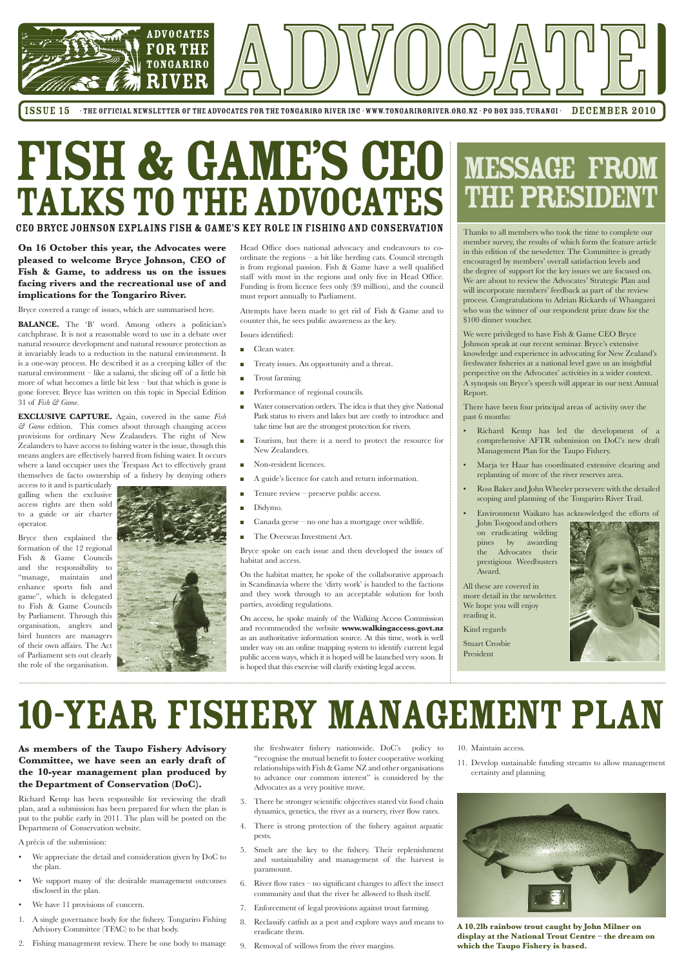

ISSUE 15 • THE OFFICIAL NEWSLETTER OF THE ADVOCATES FOR THE TONGARIRO RIVER INC · WWW.TONGARIRORIVER.ORG.NZ · PO BOX 335, TURANGI · DECEMBER 2010

# FISH & GAME'S CEO TALKS TO THE ADVOCATES

### CEO Bryce Johnson explains Fish & Game's key role in fishing and conservation

## MESSAGE From the PRESIDENT

Thanks to all members who took the time to complete our member survey, the results of which form the feature article in this edition of the newsletter. The Committee is greatly encouraged by members' overall satisfaction levels and the degree of support for the key issues we are focused on. We are about to review the Advocates' Strategic Plan and will incorporate members' feedback as part of the review process. Congratulations to Adrian Rickards of Whangarei who was the winner of our respondent prize draw for the \$100 dinner voucher.

We were privileged to have Fish & Game CEO Bryce Johnson speak at our recent seminar. Bryce's extensive knowledge and experience in advocating for New Zealand's freshwater fisheries at a national level gave us an insightful perspective on the Advocates' activities in a wider context. A synopsis on Bryce's speech will appear in our next Annual Report.

There have been four principal areas of activity over the past 6 months:

- Richard Kemp has led the development of a comprehensive AFTR submission on DoC's new draft Management Plan for the Taupo Fishery.
- Marja ter Haar has coordinated extensive clearing and replanting of more of the river reserves area.
- Ross Baker and John Wheeler persevere with the detailed scoping and planning of the Tongariro River Trail.
- Environment Waikato has acknowledged the efforts of
- John Toogood and others on eradicating wilding pines by awarding the Advocates their prestigious Weedbusters Award.

All these are covered in more detail in the newsletter. We hope you will enjoy reading it.



Stuart Crosbie President



### **On 16 October this year, the Advocates were pleased to welcome Bryce Johnson, CEO of Fish & Game, to address us on the issues facing rivers and the recreational use of and implications for the Tongariro River.**

Bryce covered a range of issues, which are summarised here.

**BALANCE.** The 'B' word. Among others a politician's catchphrase. It is not a reasonable word to use in a debate over natural resource development and natural resource protection as it invariably leads to a reduction in the natural environment. It is a one-way process. He described it as a creeping killer of the natural environment – like a salami, the slicing off of a little bit more of what becomes a little bit less – but that which is gone is gone forever. Bryce has written on this topic in Special Edition 31 of *Fish & Game*.

**EXCLUSIVE CAPTURE.** Again, covered in the same *Fish & Game* edition. This comes about through changing access provisions for ordinary New Zealanders. The right of New Zealanders to have access to fishing water is the issue, though this means anglers are effectively barred from fishing water. It occurs where a land occupier uses the Trespass Act to effectively grant themselves de facto ownership of a fishery by denying others

- We appreciate the detail and consideration given by DoC to the plan.
- We support many of the desirable management outcomes disclosed in the plan.
- We have 11 provisions of concern.
- 1. A single governance body for the fishery. Tongariro Fishing Advisory Committee (TFAC) to be that body.
- 2. Fishing management review. There be one body to manage

access to it and is particularly galling when the exclusive access rights are then sold to a guide or air charter operator.

Bryce then explained the formation of the 12 regional Fish & Game Councils and the responsibility to "manage, maintain and enhance sports fish and game", which is delegated to Fish & Game Councils by Parliament. Through this organisation, anglers and bird hunters are managers of their own affairs. The Act of Parliament sets out clearly the role of the organisation.



Head Office does national advocacy and endeavours to coordinate the regions – a bit like herding cats. Council strength is from regional passion. Fish & Game have a well qualified staff with most in the regions and only five in Head Office. Funding is from licence fees only (\$9 million), and the council must report annually to Parliament.

Attempts have been made to get rid of Fish & Game and to counter this, he sees public awareness as the key.

Issues identified:

- **n** Clean water.
- **n** Treaty issues. An opportunity and a threat.
- Trout farming.
- **n** Performance of regional councils.
- <sup>n</sup> Water conservation orders. The idea is that they give National Park status to rivers and lakes but are costly to introduce and take time but are the strongest protection for rivers.
- <sup>n</sup> Tourism, but there is a need to protect the resource for New Zealanders.
- Non-resident licences.
- <sup>n</sup> A guide's licence for catch and return information.
- Tenure review preserve public access.
- Didymo.
- Canada geese  $-$  no one has a mortgage over wildlife.
- n The Overseas Investment Act.

Bryce spoke on each issue and then developed the issues of habitat and access.

On the habitat matter, he spoke of the collaborative approach in Scandinavia where the 'dirty work' is handed to the factions and they work through to an acceptable solution for both parties, avoiding regulations.

On access, he spoke mainly of the Walking Access Commission and recommended the website **www.walkingaccess.govt.nz** as an authoritative information source. At this time, work is well under way on an online mapping system to identify current legal public access ways, which it is hoped will be launched very soon. It is hoped that this exercise will clarify existing legal access.

**As members of the Taupo Fishery Advisory Committee, we have seen an early draft of the 10-year management plan produced by the Department of Conservation (DoC).**

Richard Kemp has been responsible for reviewing the draft plan, and a submission has been prepared for when the plan is put to the public early in 2011. The plan will be posted on the Department of Conservation website.

A précis of the submission:

the freshwater fishery nationwide. DoC's policy to "recognise the mutual benefit to foster cooperative working relationships with Fish & Game NZ and other organisations to advance our common interest" is considered by the Advocates as a very positive move.

- 3. There be stronger scientific objectives stated viz food chain dynamics, genetics, the river as a nursery, river flow rates.
- 4. There is strong protection of the fishery against aquatic pests.
- 5. Smelt are the key to the fishery. Their replenishment and sustainability and management of the harvest is paramount.
- 6. River flow rates no significant changes to affect the insect community and that the river be allowed to flush itself.
- 7. Enforcement of legal provisions against trout farming.
- 8. Reclassify catfish as a pest and explore ways and means to eradicate them.
- 9. Removal of willows from the river margins.

## 10-Year Fishery Management Plan

**A 10.2lb rainbow trout caught by John Milner on display at the National Trout Centre – the dream on which the Taupo Fishery is based.**

### 10. Maintain access.

11. Develop sustainable funding streams to allow management certainty and planning.